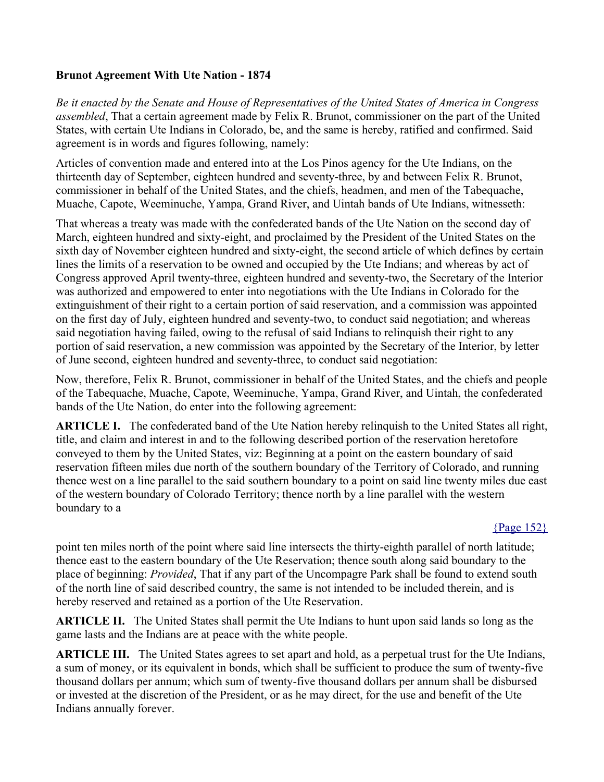## **Brunot Agreement With Ute Nation - 1874**

*Be it enacted by the Senate and House of Representatives of the United States of America in Congress assembled*, That a certain agreement made by Felix R. Brunot, commissioner on the part of the United States, with certain Ute Indians in Colorado, be, and the same is hereby, ratified and confirmed. Said agreement is in words and figures following, namely:

Articles of convention made and entered into at the Los Pinos agency for the Ute Indians, on the thirteenth day of September, eighteen hundred and seventy-three, by and between Felix R. Brunot, commissioner in behalf of the United States, and the chiefs, headmen, and men of the Tabequache, Muache, Capote, Weeminuche, Yampa, Grand River, and Uintah bands of Ute Indians, witnesseth:

That whereas a treaty was made with the confederated bands of the Ute Nation on the second day of March, eighteen hundred and sixty-eight, and proclaimed by the President of the United States on the sixth day of November eighteen hundred and sixty-eight, the second article of which defines by certain lines the limits of a reservation to be owned and occupied by the Ute Indians; and whereas by act of Congress approved April twenty-three, eighteen hundred and seventy-two, the Secretary of the Interior was authorized and empowered to enter into negotiations with the Ute Indians in Colorado for the extinguishment of their right to a certain portion of said reservation, and a commission was appointed on the first day of July, eighteen hundred and seventy-two, to conduct said negotiation; and whereas said negotiation having failed, owing to the refusal of said Indians to relinquish their right to any portion of said reservation, a new commission was appointed by the Secretary of the Interior, by letter of June second, eighteen hundred and seventy-three, to conduct said negotiation:

Now, therefore, Felix R. Brunot, commissioner in behalf of the United States, and the chiefs and people of the Tabequache, Muache, Capote, Weeminuche, Yampa, Grand River, and Uintah, the confederated bands of the Ute Nation, do enter into the following agreement:

**ARTICLE I.** The confederated band of the Ute Nation hereby relinquish to the United States all right, title, and claim and interest in and to the following described portion of the reservation heretofore conveyed to them by the United States, viz: Beginning at a point on the eastern boundary of said reservation fifteen miles due north of the southern boundary of the Territory of Colorado, and running thence west on a line parallel to the said southern boundary to a point on said line twenty miles due east of the western boundary of Colorado Territory; thence north by a line parallel with the western boundary to a

## [{Page 152}](http://digital.library.okstate.edu/kappler/Vol1/Images/v1p0152.jpg)

point ten miles north of the point where said line intersects the thirty-eighth parallel of north latitude; thence east to the eastern boundary of the Ute Reservation; thence south along said boundary to the place of beginning: *Provided*, That if any part of the Uncompagre Park shall be found to extend south of the north line of said described country, the same is not intended to be included therein, and is hereby reserved and retained as a portion of the Ute Reservation.

**ARTICLE II.** The United States shall permit the Ute Indians to hunt upon said lands so long as the game lasts and the Indians are at peace with the white people.

**ARTICLE III.** The United States agrees to set apart and hold, as a perpetual trust for the Ute Indians, a sum of money, or its equivalent in bonds, which shall be sufficient to produce the sum of twenty-five thousand dollars per annum; which sum of twenty-five thousand dollars per annum shall be disbursed or invested at the discretion of the President, or as he may direct, for the use and benefit of the Ute Indians annually forever.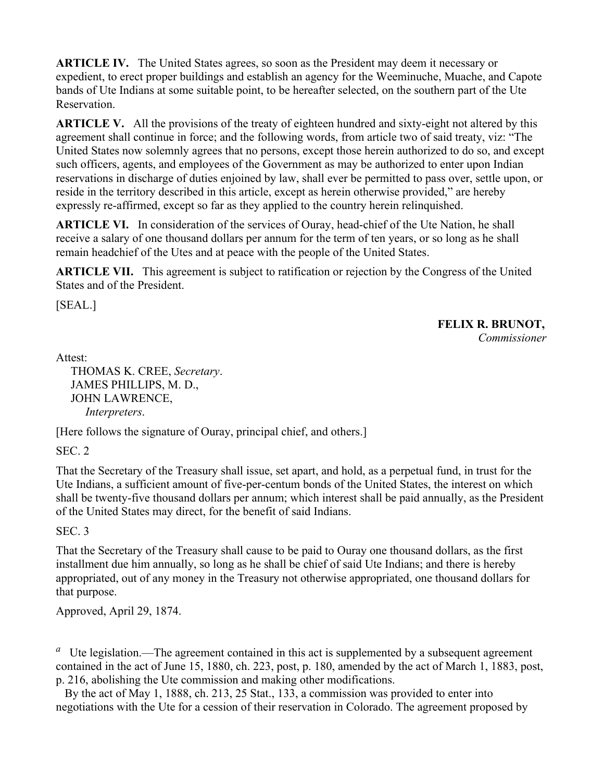**ARTICLE IV.** The United States agrees, so soon as the President may deem it necessary or expedient, to erect proper buildings and establish an agency for the Weeminuche, Muache, and Capote bands of Ute Indians at some suitable point, to be hereafter selected, on the southern part of the Ute Reservation.

**ARTICLE V.** All the provisions of the treaty of eighteen hundred and sixty-eight not altered by this agreement shall continue in force; and the following words, from article two of said treaty, viz: "The United States now solemnly agrees that no persons, except those herein authorized to do so, and except such officers, agents, and employees of the Government as may be authorized to enter upon Indian reservations in discharge of duties enjoined by law, shall ever be permitted to pass over, settle upon, or reside in the territory described in this article, except as herein otherwise provided," are hereby expressly re-affirmed, except so far as they applied to the country herein relinquished.

**ARTICLE VI.** In consideration of the services of Ouray, head-chief of the Ute Nation, he shall receive a salary of one thousand dollars per annum for the term of ten years, or so long as he shall remain headchief of the Utes and at peace with the people of the United States.

**ARTICLE VII.** This agreement is subject to ratification or rejection by the Congress of the United States and of the President.

[SEAL.]

**FELIX R. BRUNOT,** *Commissioner*

Attest:

THOMAS K. CREE, *Secretary*. JAMES PHILLIPS, M. D., JOHN LAWRENCE, *Interpreters*.

[Here follows the signature of Ouray, principal chief, and others.]

SEC. 2

That the Secretary of the Treasury shall issue, set apart, and hold, as a perpetual fund, in trust for the Ute Indians, a sufficient amount of five-per-centum bonds of the United States, the interest on which shall be twenty-five thousand dollars per annum; which interest shall be paid annually, as the President of the United States may direct, for the benefit of said Indians.

SEC. 3

That the Secretary of the Treasury shall cause to be paid to Ouray one thousand dollars, as the first installment due him annually, so long as he shall be chief of said Ute Indians; and there is hereby appropriated, out of any money in the Treasury not otherwise appropriated, one thousand dollars for that purpose.

Approved, April 29, 1874.

<sup>a</sup> Ute legislation.—The agreement contained in this act is supplemented by a subsequent agreement contained in the act of June 15, 1880, ch. 223, post, p. 180, amended by the act of March 1, 1883, post, p. 216, abolishing the Ute commission and making other modifications.

By the act of May 1, 1888, ch. 213, 25 Stat., 133, a commission was provided to enter into negotiations with the Ute for a cession of their reservation in Colorado. The agreement proposed by